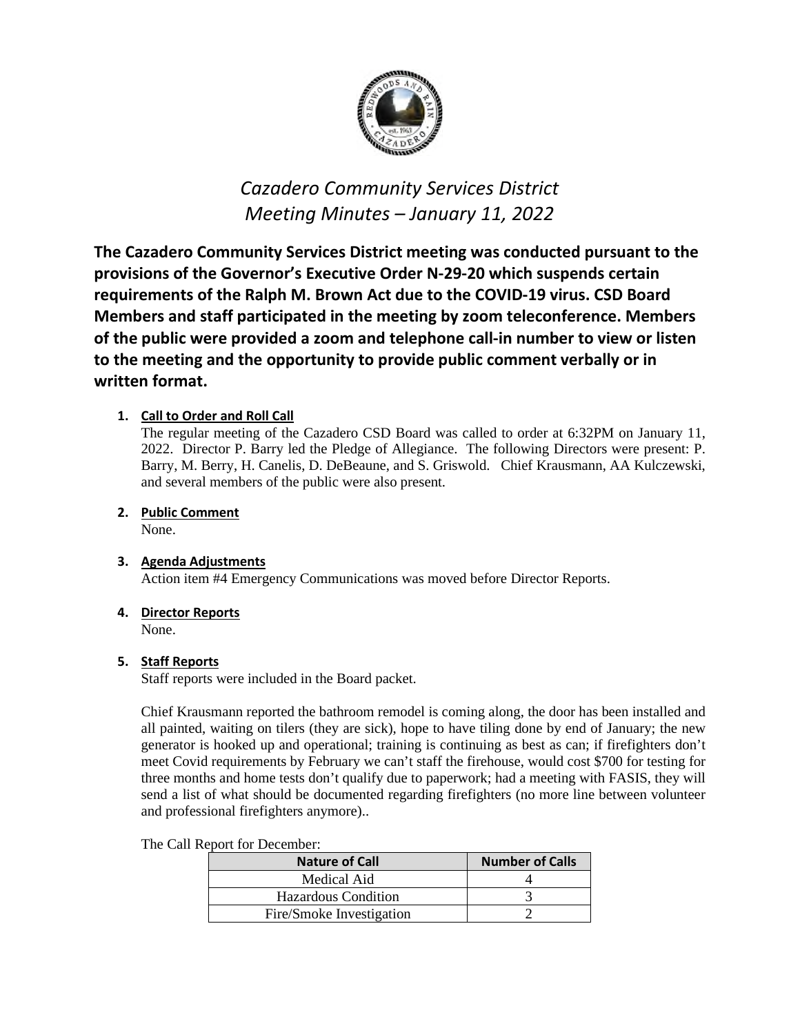

# *Cazadero Community Services District Meeting Minutes – January 11, 2022*

**The Cazadero Community Services District meeting was conducted pursuant to the provisions of the Governor's Executive Order N-29-20 which suspends certain requirements of the Ralph M. Brown Act due to the COVID-19 virus. CSD Board Members and staff participated in the meeting by zoom teleconference. Members of the public were provided a zoom and telephone call-in number to view or listen to the meeting and the opportunity to provide public comment verbally or in written format.**

# **1. Call to Order and Roll Call**

The regular meeting of the Cazadero CSD Board was called to order at 6:32PM on January 11, 2022. Director P. Barry led the Pledge of Allegiance. The following Directors were present: P. Barry, M. Berry, H. Canelis, D. DeBeaune, and S. Griswold. Chief Krausmann, AA Kulczewski, and several members of the public were also present.

# **2. Public Comment**

None.

## **3. Agenda Adjustments**

Action item #4 Emergency Communications was moved before Director Reports.

# **4. Director Reports**

None.

## **5. Staff Reports**

Staff reports were included in the Board packet.

Chief Krausmann reported the bathroom remodel is coming along, the door has been installed and all painted, waiting on tilers (they are sick), hope to have tiling done by end of January; the new generator is hooked up and operational; training is continuing as best as can; if firefighters don't meet Covid requirements by February we can't staff the firehouse, would cost \$700 for testing for three months and home tests don't qualify due to paperwork; had a meeting with FASIS, they will send a list of what should be documented regarding firefighters (no more line between volunteer and professional firefighters anymore)..

The Call Report for December:

| <b>Nature of Call</b>      | <b>Number of Calls</b> |
|----------------------------|------------------------|
| Medical Aid                |                        |
| <b>Hazardous Condition</b> |                        |
| Fire/Smoke Investigation   |                        |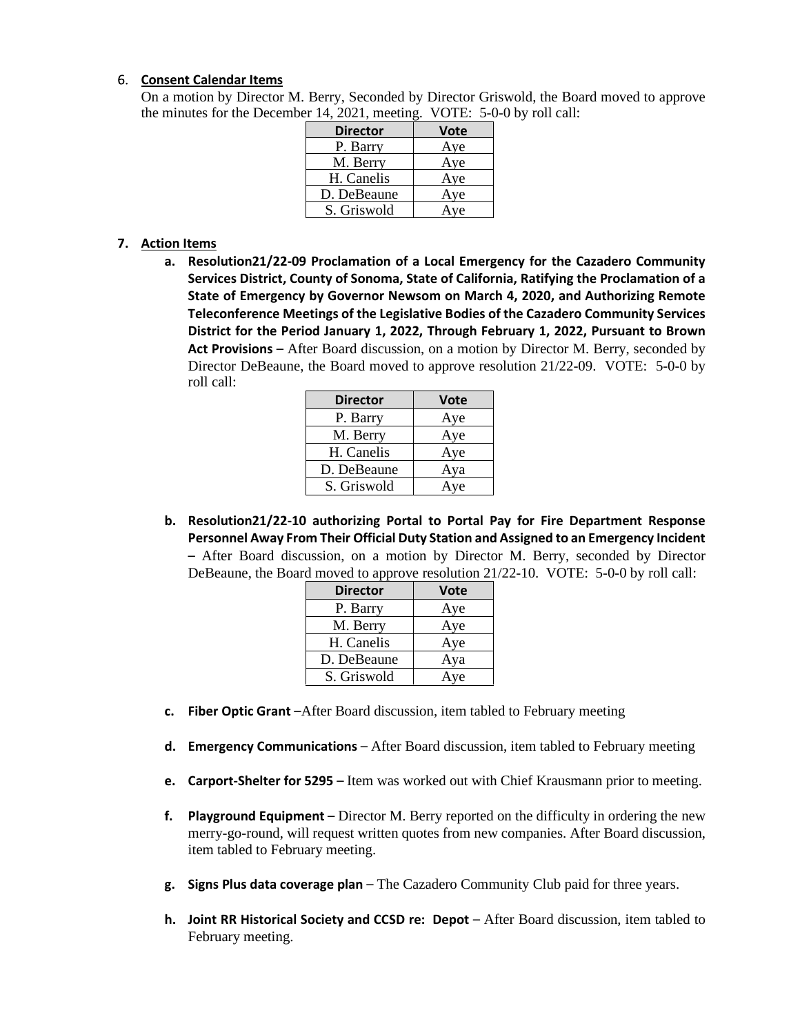## 6. **Consent Calendar Items**

On a motion by Director M. Berry, Seconded by Director Griswold, the Board moved to approve the minutes for the December 14, 2021, meeting. VOTE: 5-0-0 by roll call:

| <b>Director</b> | <b>Vote</b> |
|-----------------|-------------|
| P. Barry        | Aye         |
| M. Berry        | Aye         |
| H. Canelis      | Aye         |
| D. DeBeaune     | Aye         |
| S. Griswold     | Aye         |

## **7. Action Items**

**a. Resolution21/22-09 Proclamation of a Local Emergency for the Cazadero Community Services District, County of Sonoma, State of California, Ratifying the Proclamation of a State of Emergency by Governor Newsom on March 4, 2020, and Authorizing Remote Teleconference Meetings of the Legislative Bodies of the Cazadero Community Services District for the Period January 1, 2022, Through February 1, 2022, Pursuant to Brown Act Provisions** – After Board discussion, on a motion by Director M. Berry, seconded by Director DeBeaune, the Board moved to approve resolution 21/22-09. VOTE: 5-0-0 by roll call:

| <b>Director</b> | <b>Vote</b> |
|-----------------|-------------|
| P. Barry        | Aye         |
| M. Berry        | Aye         |
| H. Canelis      | Aye         |
| D. DeBeaune     | Aya         |
| S. Griswold     | Aye         |

**b. Resolution21/22-10 authorizing Portal to Portal Pay for Fire Department Response Personnel Away From Their Official Duty Station and Assigned to an Emergency Incident**  – After Board discussion, on a motion by Director M. Berry, seconded by Director DeBeaune, the Board moved to approve resolution 21/22-10. VOTE: 5-0-0 by roll call:

| <b>Director</b> | <b>Vote</b> |
|-----------------|-------------|
| P. Barry        | Aye         |
| M. Berry        | Aye         |
| H. Canelis      | Aye         |
| D. DeBeaune     | Aya         |
| S. Griswold     | Aye         |

- **c. Fiber Optic Grant** –After Board discussion, item tabled to February meeting
- **d. Emergency Communications**  After Board discussion, item tabled to February meeting
- **e. Carport-Shelter for 5295**  Item was worked out with Chief Krausmann prior to meeting.
- **f. Playground Equipment**  Director M. Berry reported on the difficulty in ordering the new merry-go-round, will request written quotes from new companies. After Board discussion, item tabled to February meeting.
- **g. Signs Plus data coverage plan**  The Cazadero Community Club paid for three years.
- **h. Joint RR Historical Society and CCSD re: Depot** After Board discussion, item tabled to February meeting.